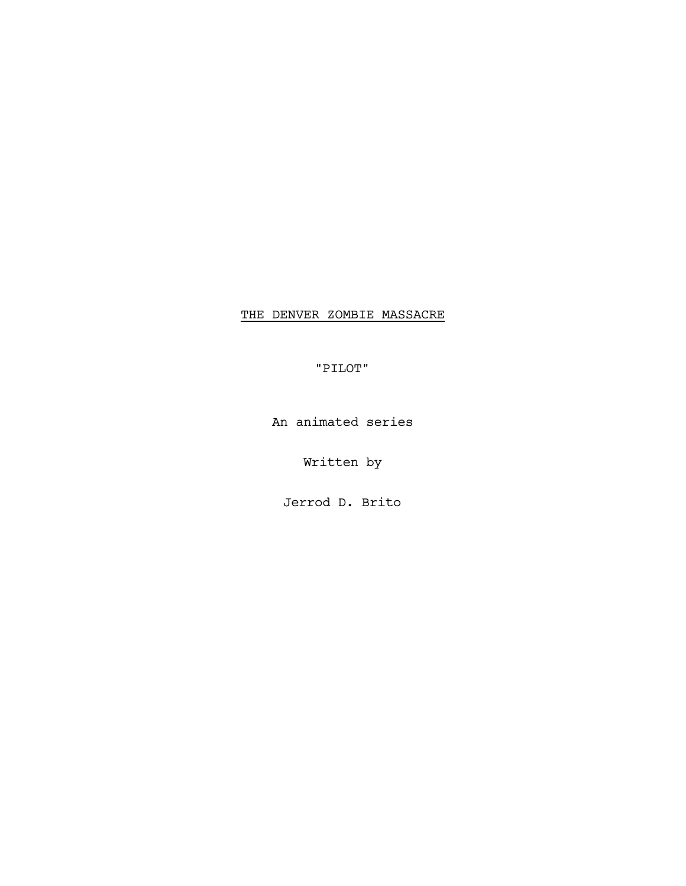# THE DENVER ZOMBIE MASSACRE

"PILOT"

An animated series

Written by

Jerrod D. Brito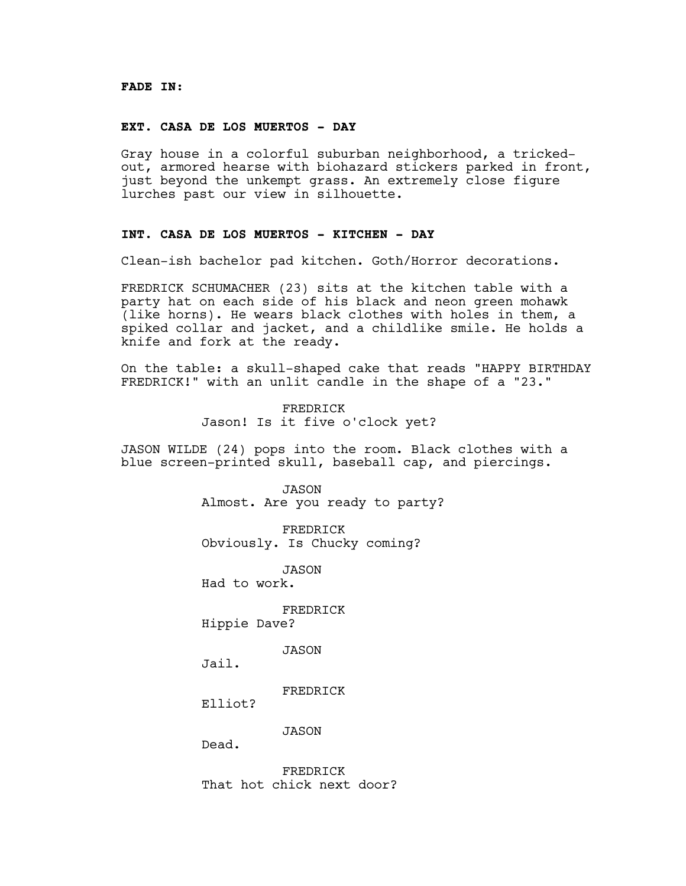#### **FADE IN:**

### **EXT. CASA DE LOS MUERTOS - DAY**

Gray house in a colorful suburban neighborhood, a trickedout, armored hearse with biohazard stickers parked in front, just beyond the unkempt grass. An extremely close figure lurches past our view in silhouette.

# **INT. CASA DE LOS MUERTOS - KITCHEN - DAY**

Clean-ish bachelor pad kitchen. Goth/Horror decorations.

FREDRICK SCHUMACHER (23) sits at the kitchen table with a party hat on each side of his black and neon green mohawk (like horns). He wears black clothes with holes in them, a spiked collar and jacket, and a childlike smile. He holds a knife and fork at the ready.

On the table: a skull-shaped cake that reads "HAPPY BIRTHDAY FREDRICK!" with an unlit candle in the shape of a "23."

> FREDRICK Jason! Is it five o'clock yet?

JASON WILDE (24) pops into the room. Black clothes with a blue screen-printed skull, baseball cap, and piercings.

> JASON Almost. Are you ready to party?

FREDRICK Obviously. Is Chucky coming?

JASON

Had to work.

FREDRICK

Hippie Dave?

JASON

Jail.

FREDRICK

Elliot?

JASON

Dead.

FREDRICK That hot chick next door?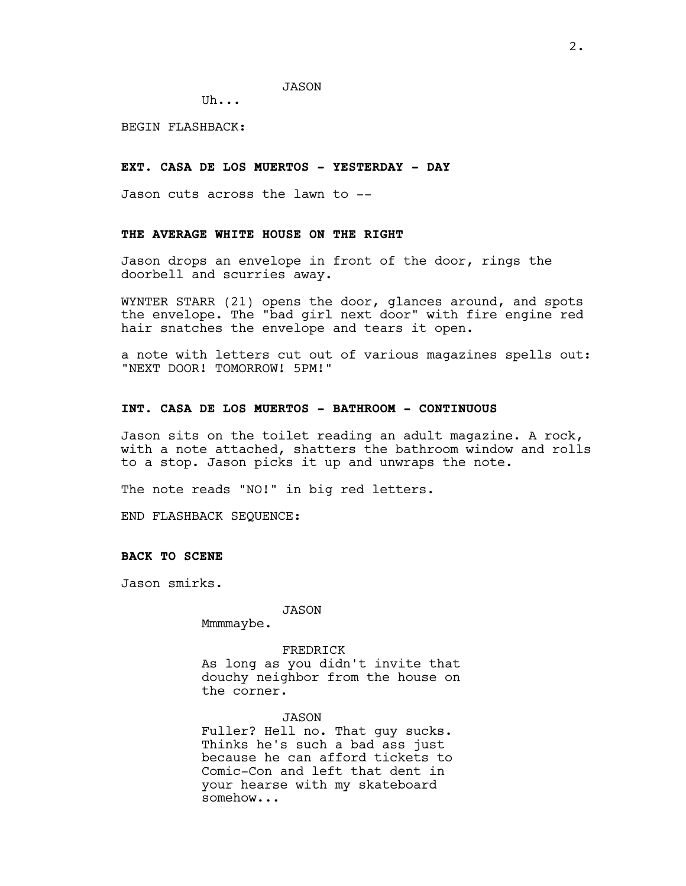Uh...

BEGIN FLASHBACK:

# **EXT. CASA DE LOS MUERTOS - YESTERDAY - DAY**

Jason cuts across the lawn to --

## **THE AVERAGE WHITE HOUSE ON THE RIGHT**

Jason drops an envelope in front of the door, rings the doorbell and scurries away.

WYNTER STARR (21) opens the door, glances around, and spots the envelope. The "bad girl next door" with fire engine red hair snatches the envelope and tears it open.

a note with letters cut out of various magazines spells out: "NEXT DOOR! TOMORROW! 5PM!"

### **INT. CASA DE LOS MUERTOS - BATHROOM - CONTINUOUS**

Jason sits on the toilet reading an adult magazine. A rock, with a note attached, shatters the bathroom window and rolls to a stop. Jason picks it up and unwraps the note.

The note reads "NO!" in big red letters.

END FLASHBACK SEQUENCE:

#### **BACK TO SCENE**

Jason smirks.

JASON

Mmmmaybe.

FREDRICK As long as you didn't invite that douchy neighbor from the house on the corner.

#### JASON

Fuller? Hell no. That guy sucks. Thinks he's such a bad ass just because he can afford tickets to Comic-Con and left that dent in your hearse with my skateboard somehow...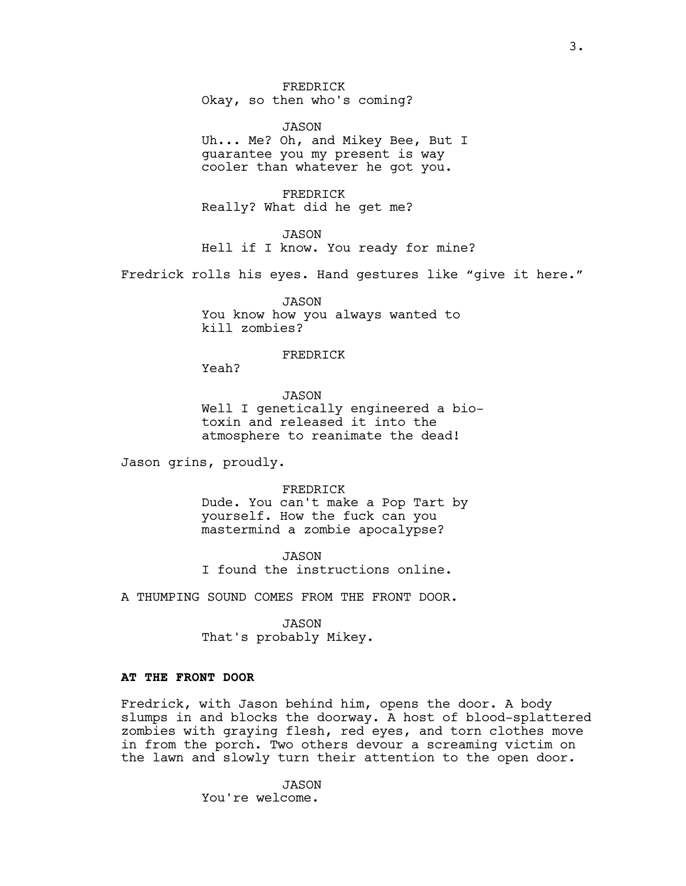FREDRICK Okay, so then who's coming?

JASON Uh... Me? Oh, and Mikey Bee, But I guarantee you my present is way cooler than whatever he got you.

FREDRICK Really? What did he get me?

JASON Hell if I know. You ready for mine?

Fredrick rolls his eyes. Hand gestures like "give it here."

JASON You know how you always wanted to kill zombies?

# FREDRICK

Yeah?

JASON Well I genetically engineered a biotoxin and released it into the atmosphere to reanimate the dead!

Jason grins, proudly.

FREDRICK Dude. You can't make a Pop Tart by yourself. How the fuck can you mastermind a zombie apocalypse?

JASON I found the instructions online.

A THUMPING SOUND COMES FROM THE FRONT DOOR.

JASON That's probably Mikey.

# **AT THE FRONT DOOR**

Fredrick, with Jason behind him, opens the door. A body slumps in and blocks the doorway. A host of blood-splattered zombies with graying flesh, red eyes, and torn clothes move in from the porch. Two others devour a screaming victim on the lawn and slowly turn their attention to the open door.

> JASON You're welcome.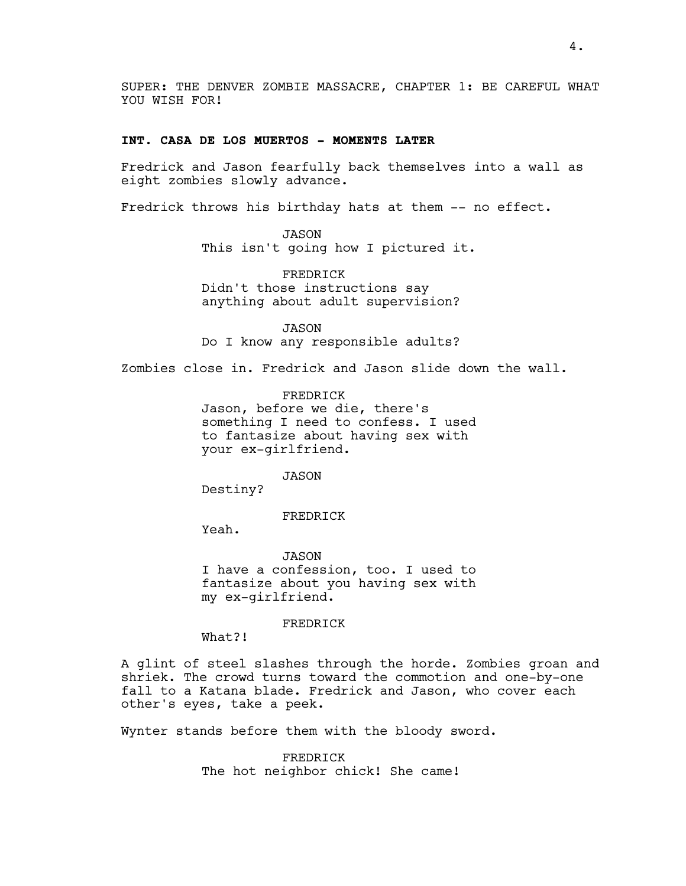SUPER: THE DENVER ZOMBIE MASSACRE, CHAPTER 1: BE CAREFUL WHAT YOU WISH FOR!

### **INT. CASA DE LOS MUERTOS - MOMENTS LATER**

Fredrick and Jason fearfully back themselves into a wall as eight zombies slowly advance.

Fredrick throws his birthday hats at them -- no effect.

JASON This isn't going how I pictured it.

FREDRICK Didn't those instructions say anything about adult supervision?

JASON Do I know any responsible adults?

Zombies close in. Fredrick and Jason slide down the wall.

FREDRICK Jason, before we die, there's something I need to confess. I used to fantasize about having sex with your ex-girlfriend.

JASON

Destiny?

FREDRICK

Yeah.

JASON I have a confession, too. I used to fantasize about you having sex with my ex-girlfriend.

FREDRICK

What?!

A glint of steel slashes through the horde. Zombies groan and shriek. The crowd turns toward the commotion and one-by-one fall to a Katana blade. Fredrick and Jason, who cover each other's eyes, take a peek.

Wynter stands before them with the bloody sword.

FREDRICK The hot neighbor chick! She came!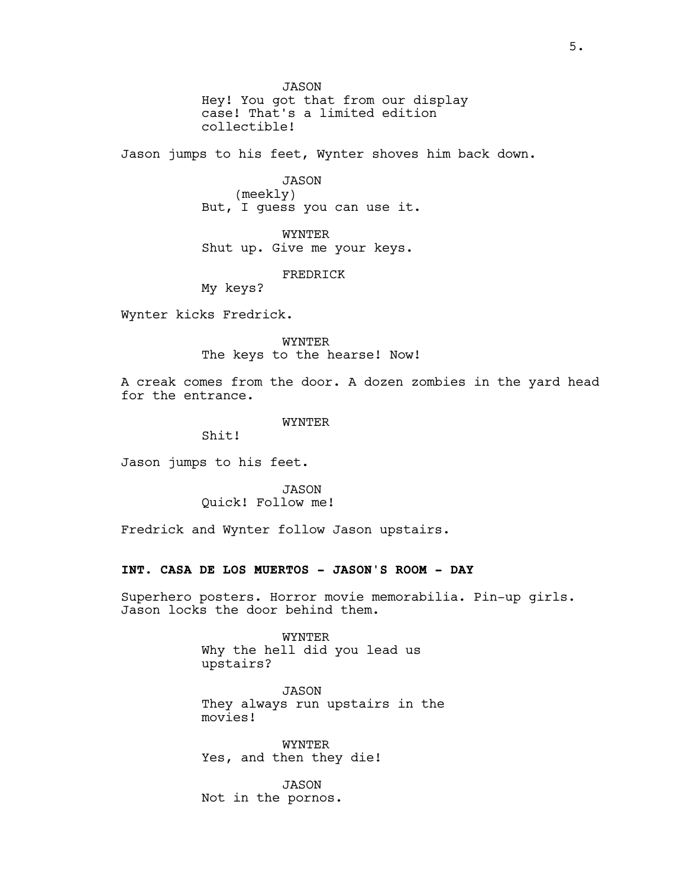JASON Hey! You got that from our display case! That's a limited edition collectible!

Jason jumps to his feet, Wynter shoves him back down.

JASON

(meekly) But, I guess you can use it.

WYNTER Shut up. Give me your keys.

FREDRICK

My keys?

Wynter kicks Fredrick.

WYNTER

The keys to the hearse! Now!

A creak comes from the door. A dozen zombies in the yard head for the entrance.

WYNTER

Shit!

Jason jumps to his feet.

JASON Quick! Follow me!

Fredrick and Wynter follow Jason upstairs.

### **INT. CASA DE LOS MUERTOS - JASON'S ROOM - DAY**

Superhero posters. Horror movie memorabilia. Pin-up girls. Jason locks the door behind them.

> WYNTER Why the hell did you lead us upstairs?

JASON They always run upstairs in the movies!

WYNTER Yes, and then they die!

JASON Not in the pornos.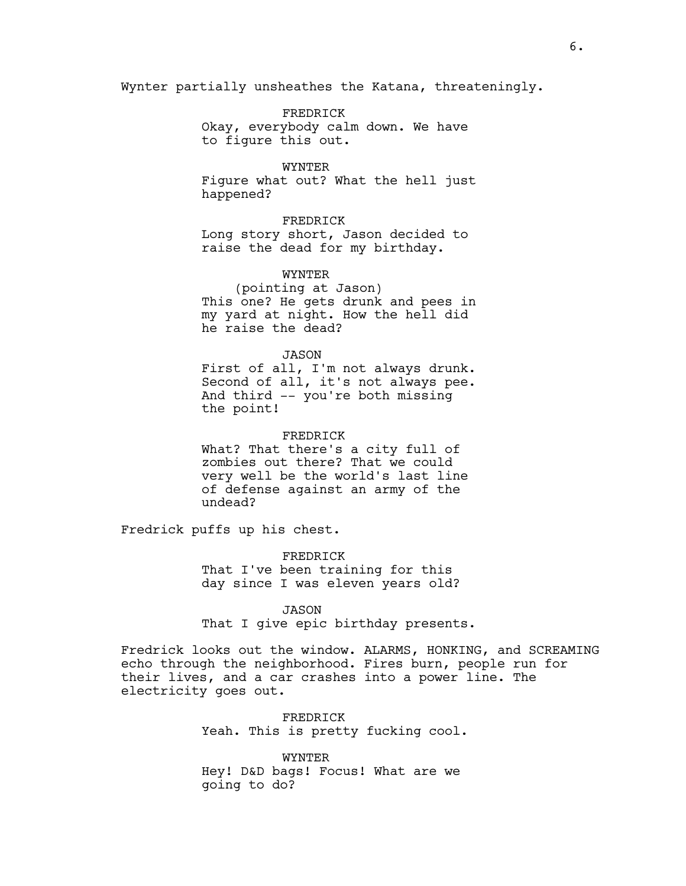Wynter partially unsheathes the Katana, threateningly.

FREDRICK Okay, everybody calm down. We have to figure this out.

#### WYNTER

Figure what out? What the hell just happened?

# FREDRICK

Long story short, Jason decided to raise the dead for my birthday.

#### WYNTER

(pointing at Jason) This one? He gets drunk and pees in my yard at night. How the hell did he raise the dead?

### JASON

First of all, I'm not always drunk. Second of all, it's not always pee. And third -- you're both missing the point!

#### FREDRICK

What? That there's a city full of zombies out there? That we could very well be the world's last line of defense against an army of the undead?

Fredrick puffs up his chest.

FREDRICK That I've been training for this day since I was eleven years old?

#### JASON

That I give epic birthday presents.

Fredrick looks out the window. ALARMS, HONKING, and SCREAMING echo through the neighborhood. Fires burn, people run for their lives, and a car crashes into a power line. The electricity goes out.

> FREDRICK Yeah. This is pretty fucking cool.

WYNTER Hey! D&D bags! Focus! What are we going to do?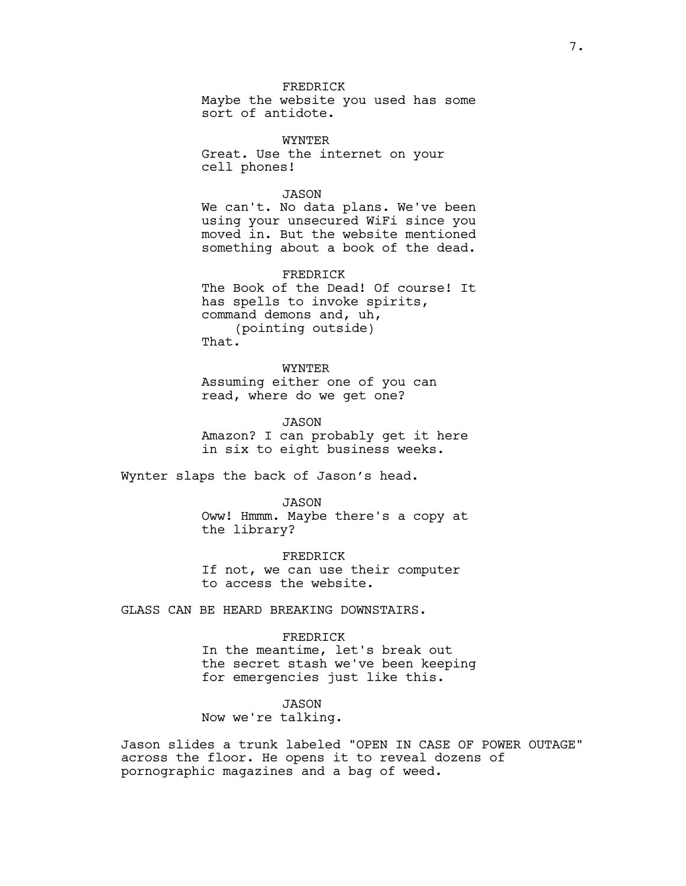## FREDRICK

Maybe the website you used has some sort of antidote.

WYNTER Great. Use the internet on your cell phones!

### JASON

We can't. No data plans. We've been using your unsecured WiFi since you moved in. But the website mentioned something about a book of the dead.

FREDRICK

The Book of the Dead! Of course! It has spells to invoke spirits, command demons and, uh, (pointing outside) That.

WYNTER Assuming either one of you can read, where do we get one?

JASON Amazon? I can probably get it here in six to eight business weeks.

Wynter slaps the back of Jason's head.

JASON Oww! Hmmm. Maybe there's a copy at the library?

FREDRICK If not, we can use their computer to access the website.

GLASS CAN BE HEARD BREAKING DOWNSTAIRS.

### FREDRICK

In the meantime, let's break out the secret stash we've been keeping for emergencies just like this.

# JASON

Now we're talking.

Jason slides a trunk labeled "OPEN IN CASE OF POWER OUTAGE" across the floor. He opens it to reveal dozens of pornographic magazines and a bag of weed.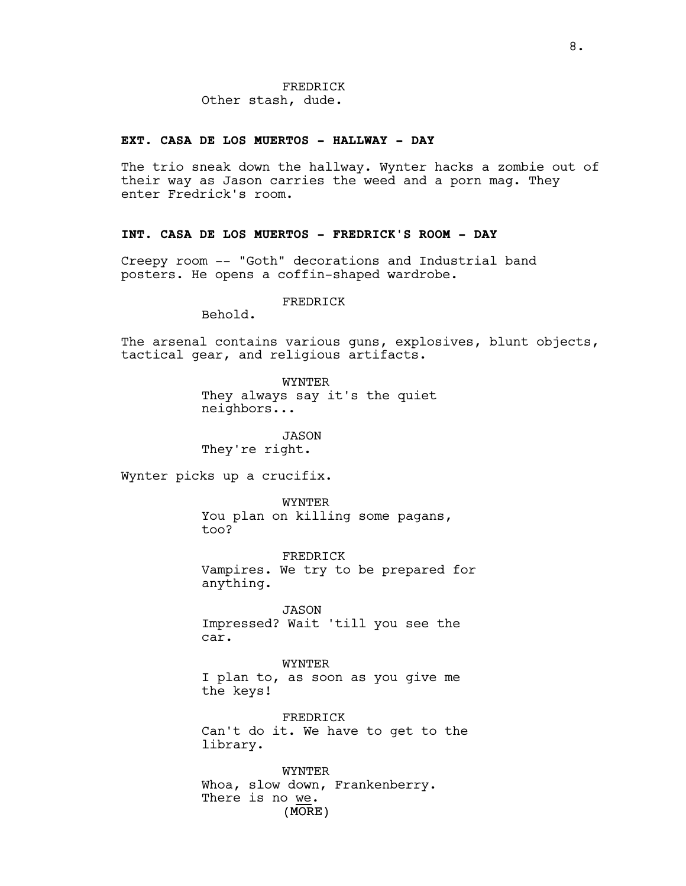### **EXT. CASA DE LOS MUERTOS - HALLWAY - DAY**

The trio sneak down the hallway. Wynter hacks a zombie out of their way as Jason carries the weed and a porn mag. They enter Fredrick's room.

# **INT. CASA DE LOS MUERTOS - FREDRICK'S ROOM - DAY**

Creepy room -- "Goth" decorations and Industrial band posters. He opens a coffin-shaped wardrobe.

### FREDRICK

Behold.

The arsenal contains various guns, explosives, blunt objects, tactical gear, and religious artifacts.

> WYNTER They always say it's the quiet neighbors...

JASON They're right.

Wynter picks up a crucifix.

WYNTER You plan on killing some pagans, too?

FREDRICK Vampires. We try to be prepared for anything.

JASON Impressed? Wait 'till you see the car.

WYNTER I plan to, as soon as you give me the keys!

FREDRICK Can't do it. We have to get to the library.

(MORE) WYNTER Whoa, slow down, Frankenberry. There is no we.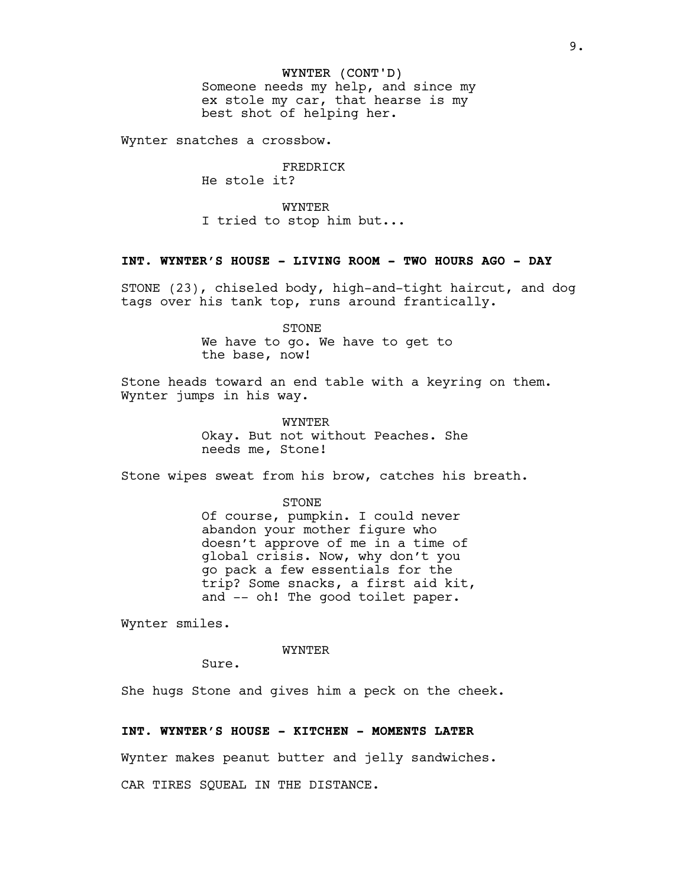#### WYNTER (CONT'D)

Someone needs my help, and since my ex stole my car, that hearse is my best shot of helping her.

Wynter snatches a crossbow.

#### FREDRICK He stole it?

WYNTER I tried to stop him but...

# **INT. WYNTER'S HOUSE - LIVING ROOM - TWO HOURS AGO - DAY**

STONE (23), chiseled body, high-and-tight haircut, and dog tags over his tank top, runs around frantically.

> STONE We have to go. We have to get to the base, now!

Stone heads toward an end table with a keyring on them. Wynter jumps in his way.

WYNTER

Okay. But not without Peaches. She needs me, Stone!

Stone wipes sweat from his brow, catches his breath.

STONE

Of course, pumpkin. I could never abandon your mother figure who doesn't approve of me in a time of global crisis. Now, why don't you go pack a few essentials for the trip? Some snacks, a first aid kit, and -- oh! The good toilet paper.

Wynter smiles.

WYNTER

Sure.

She hugs Stone and gives him a peck on the cheek.

### **INT. WYNTER'S HOUSE - KITCHEN - MOMENTS LATER**

Wynter makes peanut butter and jelly sandwiches.

CAR TIRES SQUEAL IN THE DISTANCE.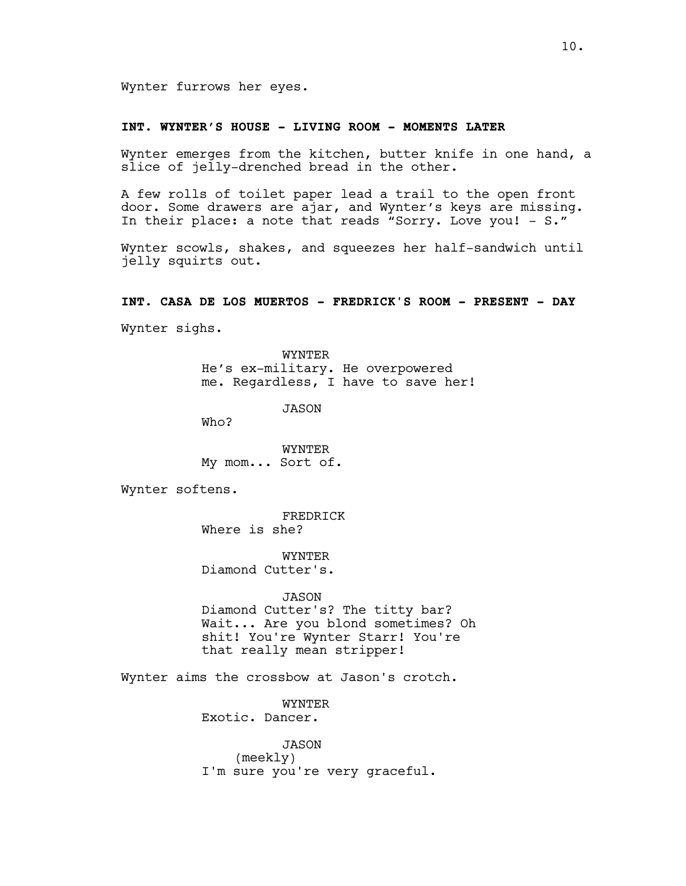### **INT. WYNTER'S HOUSE - LIVING ROOM - MOMENTS LATER**

Wynter emerges from the kitchen, butter knife in one hand, a slice of jelly-drenched bread in the other.

A few rolls of toilet paper lead a trail to the open front door. Some drawers are ajar, and Wynter's keys are missing. In their place: a note that reads "Sorry. Love you! – S."

Wynter scowls, shakes, and squeezes her half-sandwich until jelly squirts out.

### **INT. CASA DE LOS MUERTOS - FREDRICK'S ROOM - PRESENT - DAY**

Wynter sighs.

WYNTER He's ex-military. He overpowered me. Regardless, I have to save her!

JASON

Who?

WYNTER My mom... Sort of.

Wynter softens.

FREDRICK Where is she?

WYNTER Diamond Cutter's.

JASON

Diamond Cutter's? The titty bar? Wait... Are you blond sometimes? Oh shit! You're Wynter Starr! You're that really mean stripper!

Wynter aims the crossbow at Jason's crotch.

WYNTER Exotic. Dancer.

JASON (meekly) I'm sure you're very graceful.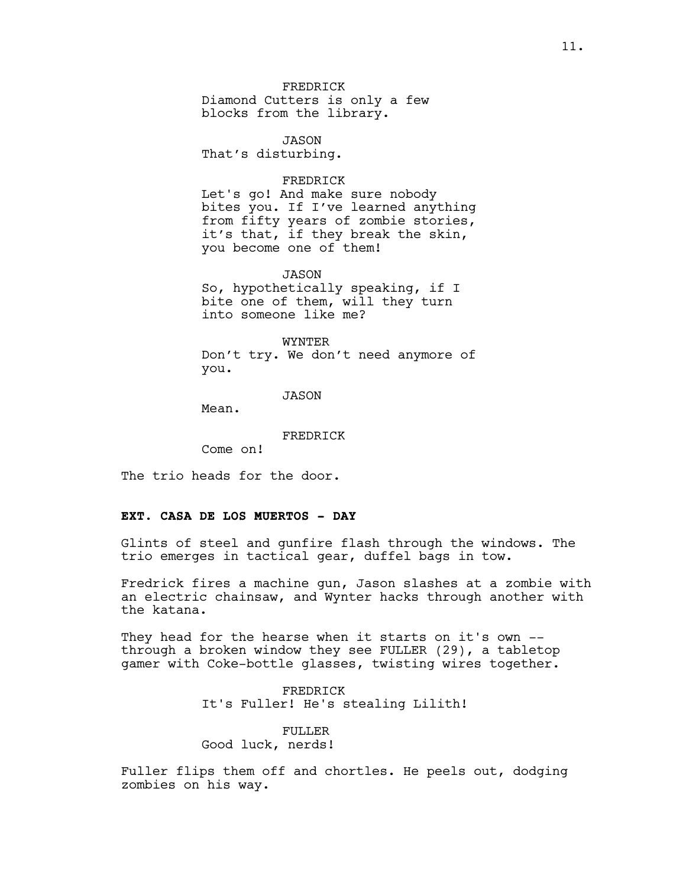FREDRICK Diamond Cutters is only a few blocks from the library.

JASON That's disturbing.

### FREDRICK

Let's go! And make sure nobody bites you. If I've learned anything from fifty years of zombie stories, it's that, if they break the skin, you become one of them!

#### JASON

So, hypothetically speaking, if I bite one of them, will they turn into someone like me?

#### WYNTER

Don't try. We don't need anymore of you.

#### JASON

Mean.

#### FREDRICK

Come on!

The trio heads for the door.

# **EXT. CASA DE LOS MUERTOS - DAY**

Glints of steel and gunfire flash through the windows. The trio emerges in tactical gear, duffel bags in tow.

Fredrick fires a machine gun, Jason slashes at a zombie with an electric chainsaw, and Wynter hacks through another with the katana.

They head for the hearse when it starts on it's own -through a broken window they see FULLER (29), a tabletop gamer with Coke-bottle glasses, twisting wires together.

> FREDRICK It's Fuller! He's stealing Lilith!

# FULLER Good luck, nerds!

Fuller flips them off and chortles. He peels out, dodging zombies on his way.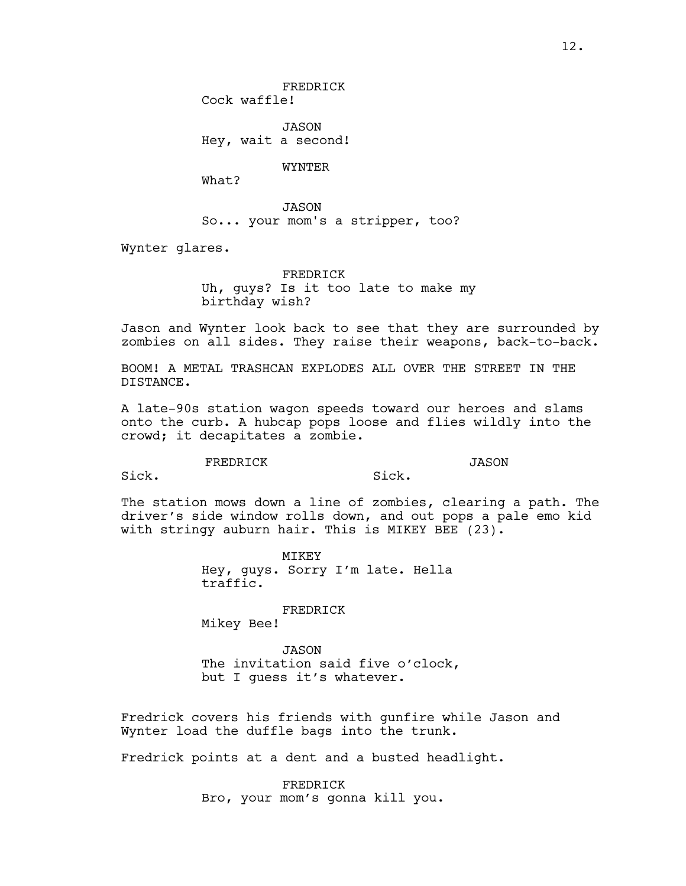JASON Hey, wait a second!

WYNTER

What?

JASON So... your mom's a stripper, too?

Wynter glares.

FREDRICK Uh, guys? Is it too late to make my birthday wish?

Jason and Wynter look back to see that they are surrounded by zombies on all sides. They raise their weapons, back-to-back.

BOOM! A METAL TRASHCAN EXPLODES ALL OVER THE STREET IN THE DISTANCE.

A late-90s station wagon speeds toward our heroes and slams onto the curb. A hubcap pops loose and flies wildly into the crowd; it decapitates a zombie.

FREDRICK

Sick.

JASON

Sick.

The station mows down a line of zombies, clearing a path. The driver's side window rolls down, and out pops a pale emo kid with stringy auburn hair. This is MIKEY BEE (23).

> MIKEY Hey, guys. Sorry I'm late. Hella traffic.

> > FREDRICK

Mikey Bee!

JASON The invitation said five o'clock, but I guess it's whatever.

Fredrick covers his friends with gunfire while Jason and Wynter load the duffle bags into the trunk.

Fredrick points at a dent and a busted headlight.

FREDRICK Bro, your mom's gonna kill you.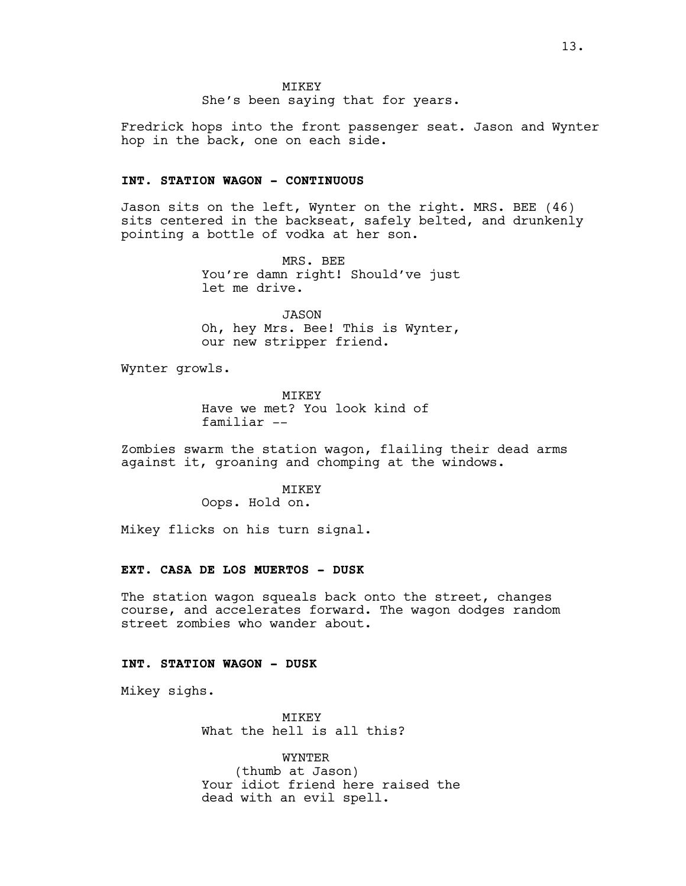She's been saying that for years.

Fredrick hops into the front passenger seat. Jason and Wynter hop in the back, one on each side.

#### **INT. STATION WAGON - CONTINUOUS**

Jason sits on the left, Wynter on the right. MRS. BEE (46) sits centered in the backseat, safely belted, and drunkenly pointing a bottle of vodka at her son.

> MRS. BEE You're damn right! Should've just let me drive.

> JASON Oh, hey Mrs. Bee! This is Wynter, our new stripper friend.

Wynter growls.

MIKEY Have we met? You look kind of familiar --

Zombies swarm the station wagon, flailing their dead arms against it, groaning and chomping at the windows.

MIKEY

Oops. Hold on.

Mikey flicks on his turn signal.

#### **EXT. CASA DE LOS MUERTOS - DUSK**

The station wagon squeals back onto the street, changes course, and accelerates forward. The wagon dodges random street zombies who wander about.

# **INT. STATION WAGON - DUSK**

Mikey sighs.

MIKEY What the hell is all this?

WYNTER (thumb at Jason) Your idiot friend here raised the dead with an evil spell.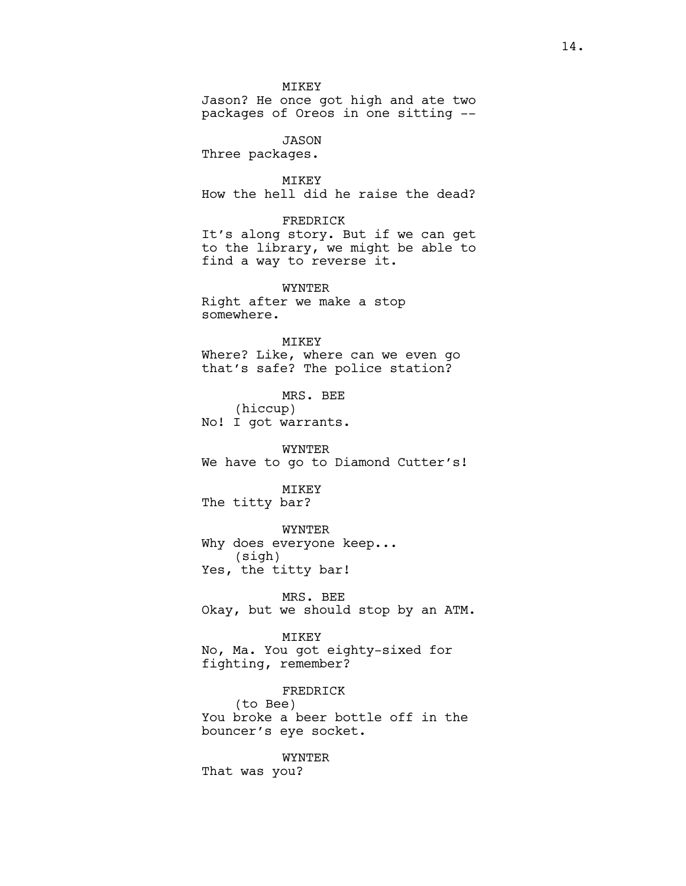MIKEY Jason? He once got high and ate two packages of Oreos in one sitting --

JASON Three packages.

MIKEY How the hell did he raise the dead?

#### FREDRICK

It's along story. But if we can get to the library, we might be able to find a way to reverse it.

WYNTER Right after we make a stop somewhere.

### MIKEY

Where? Like, where can we even go that's safe? The police station?

MRS. BEE (hiccup) No! I got warrants.

WYNTER We have to go to Diamond Cutter's!

#### MIKEY

The titty bar?

WYNTER

Why does everyone keep... (sigh) Yes, the titty bar!

MRS. BEE Okay, but we should stop by an ATM.

#### MIKEY

No, Ma. You got eighty-sixed for fighting, remember?

### FREDRICK

(to Bee) You broke a beer bottle off in the bouncer's eye socket.

### WYNTER

That was you?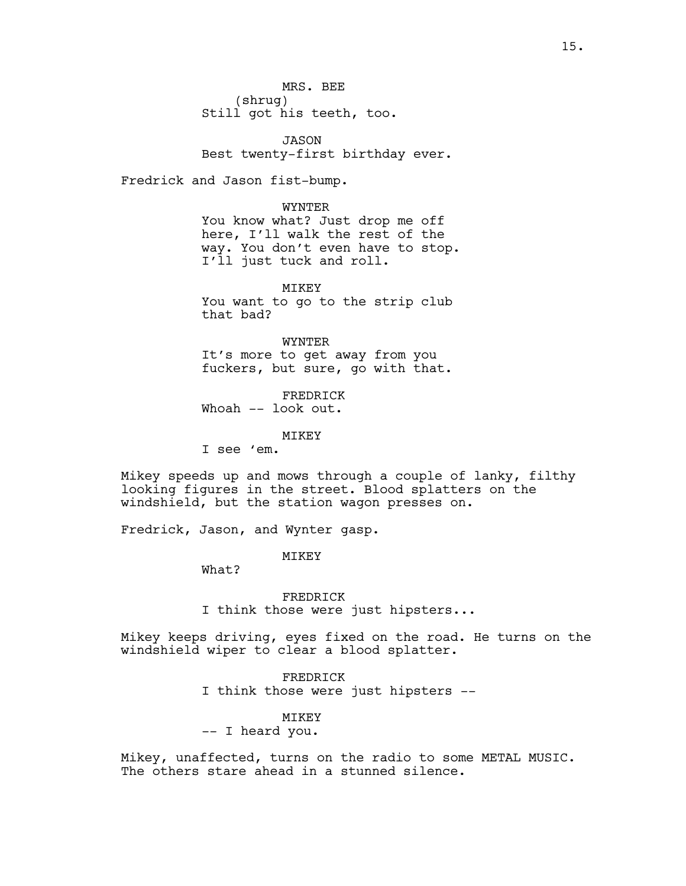MRS. BEE (shrug) Still got his teeth, too.

JASON Best twenty-first birthday ever.

Fredrick and Jason fist-bump.

WYNTER You know what? Just drop me off here, I'll walk the rest of the way. You don't even have to stop. I'll just tuck and roll.

MIKEY You want to go to the strip club that bad?

WYNTER It's more to get away from you fuckers, but sure, go with that.

FREDRICK Whoah -- look out.

MIKEY

I see 'em.

Mikey speeds up and mows through a couple of lanky, filthy looking figures in the street. Blood splatters on the windshield, but the station wagon presses on.

Fredrick, Jason, and Wynter gasp.

**MTKEY** 

What?

FREDRICK I think those were just hipsters...

Mikey keeps driving, eyes fixed on the road. He turns on the windshield wiper to clear a blood splatter.

> FREDRICK I think those were just hipsters --

> > MIKEY

-- I heard you.

Mikey, unaffected, turns on the radio to some METAL MUSIC. The others stare ahead in a stunned silence.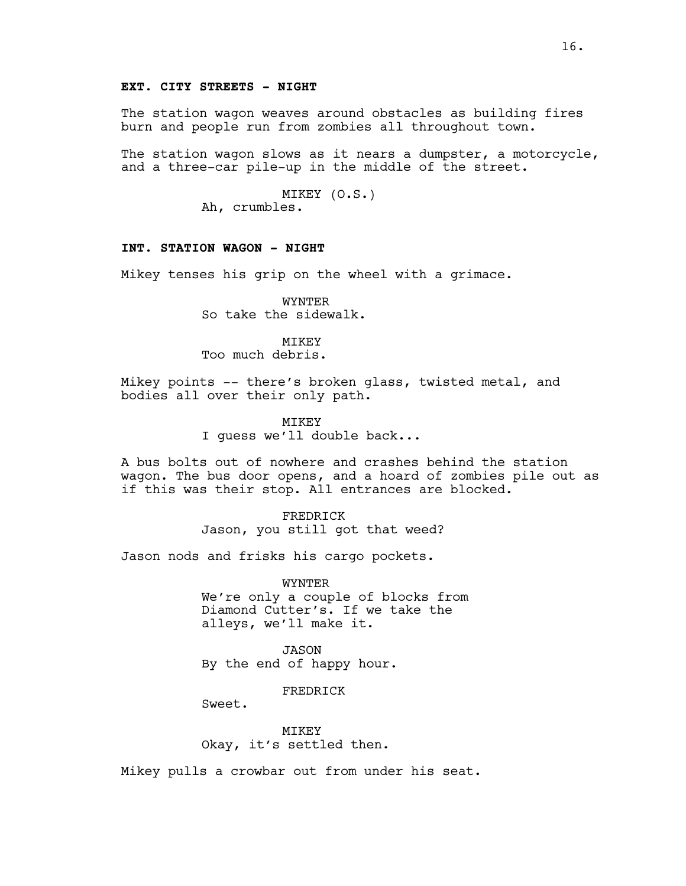## **EXT. CITY STREETS - NIGHT**

The station wagon weaves around obstacles as building fires burn and people run from zombies all throughout town.

The station wagon slows as it nears a dumpster, a motorcycle, and a three-car pile-up in the middle of the street.

> MIKEY (O.S.) Ah, crumbles.

### **INT. STATION WAGON - NIGHT**

Mikey tenses his grip on the wheel with a grimace.

WYNTER So take the sidewalk.

# MTKEY

Too much debris.

Mikey points -- there's broken glass, twisted metal, and bodies all over their only path.

MIKEY

I guess we'll double back...

A bus bolts out of nowhere and crashes behind the station wagon. The bus door opens, and a hoard of zombies pile out as if this was their stop. All entrances are blocked.

> FREDRICK Jason, you still got that weed?

Jason nods and frisks his cargo pockets.

WYNTER We're only a couple of blocks from Diamond Cutter's. If we take the alleys, we'll make it.

JASON By the end of happy hour.

FREDRICK

Sweet.

**MTKEY** Okay, it's settled then.

Mikey pulls a crowbar out from under his seat.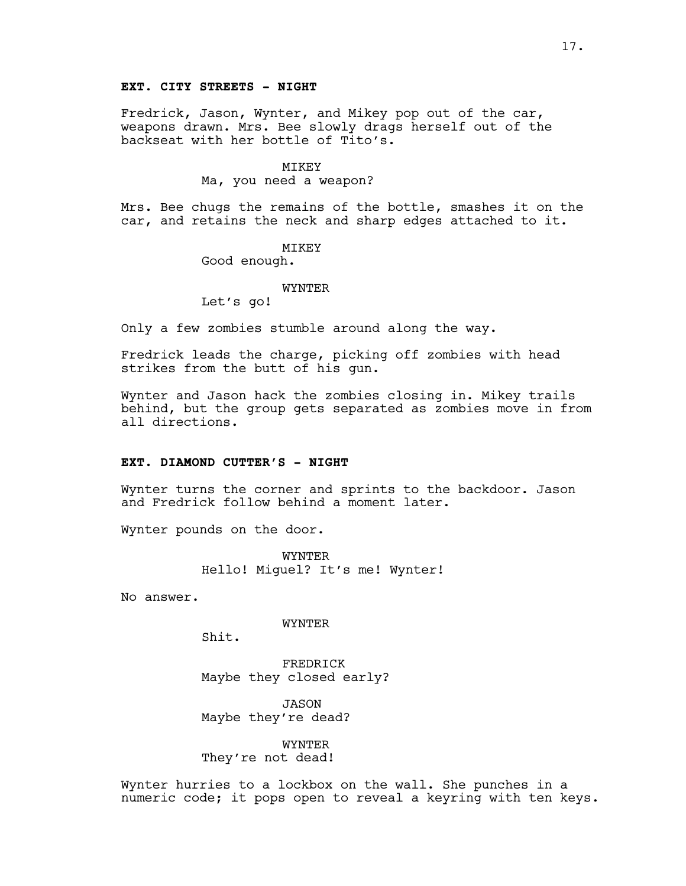# **EXT. CITY STREETS - NIGHT**

Fredrick, Jason, Wynter, and Mikey pop out of the car, weapons drawn. Mrs. Bee slowly drags herself out of the backseat with her bottle of Tito's.

#### MIKEY

#### Ma, you need a weapon?

Mrs. Bee chugs the remains of the bottle, smashes it on the car, and retains the neck and sharp edges attached to it.

### MIKEY

Good enough.

#### **WYNTER**

Let's go!

Only a few zombies stumble around along the way.

Fredrick leads the charge, picking off zombies with head strikes from the butt of his gun.

Wynter and Jason hack the zombies closing in. Mikey trails behind, but the group gets separated as zombies move in from all directions.

## **EXT. DIAMOND CUTTER'S - NIGHT**

Wynter turns the corner and sprints to the backdoor. Jason and Fredrick follow behind a moment later.

Wynter pounds on the door.

WYNTER Hello! Miguel? It's me! Wynter!

No answer.

#### WYNTER

Shit.

FREDRICK Maybe they closed early?

JASON Maybe they're dead?

WYNTER They're not dead!

Wynter hurries to a lockbox on the wall. She punches in a numeric code; it pops open to reveal a keyring with ten keys.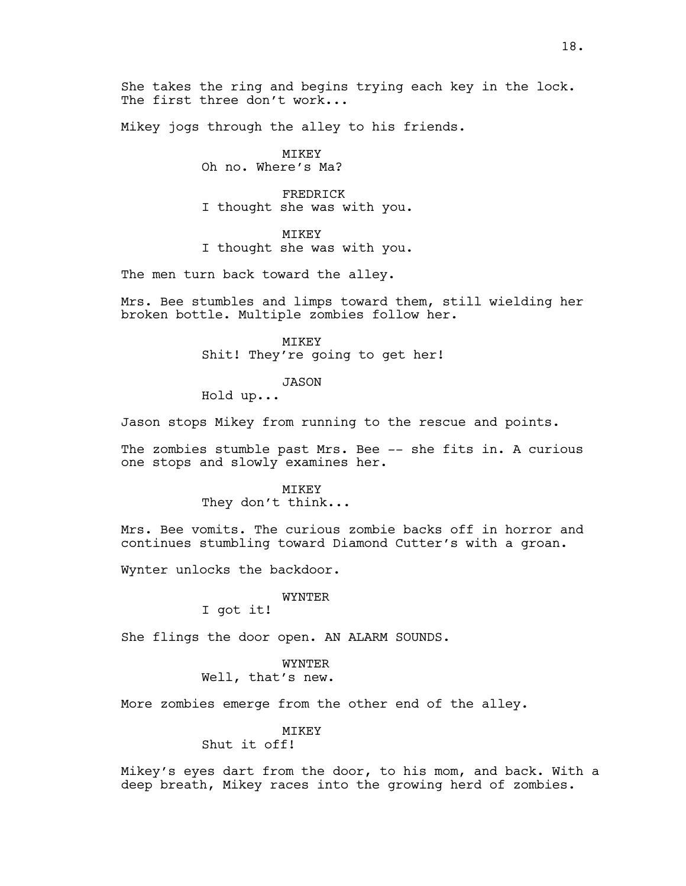Mikey jogs through the alley to his friends.

# MIKEY

Oh no. Where's Ma?

FREDRICK I thought she was with you.

## MIKEY

I thought she was with you.

The men turn back toward the alley.

Mrs. Bee stumbles and limps toward them, still wielding her broken bottle. Multiple zombies follow her.

> MIKEY Shit! They're going to get her!

### JASON

Hold up...

Jason stops Mikey from running to the rescue and points.

The zombies stumble past Mrs. Bee -- she fits in. A curious one stops and slowly examines her.

#### MIKEY

They don't think...

Mrs. Bee vomits. The curious zombie backs off in horror and continues stumbling toward Diamond Cutter's with a groan.

Wynter unlocks the backdoor.

### WYNTER

I got it!

She flings the door open. AN ALARM SOUNDS.

WYNTER Well, that's new.

More zombies emerge from the other end of the alley.

# MIKEY

# Shut it off!

Mikey's eyes dart from the door, to his mom, and back. With a deep breath, Mikey races into the growing herd of zombies.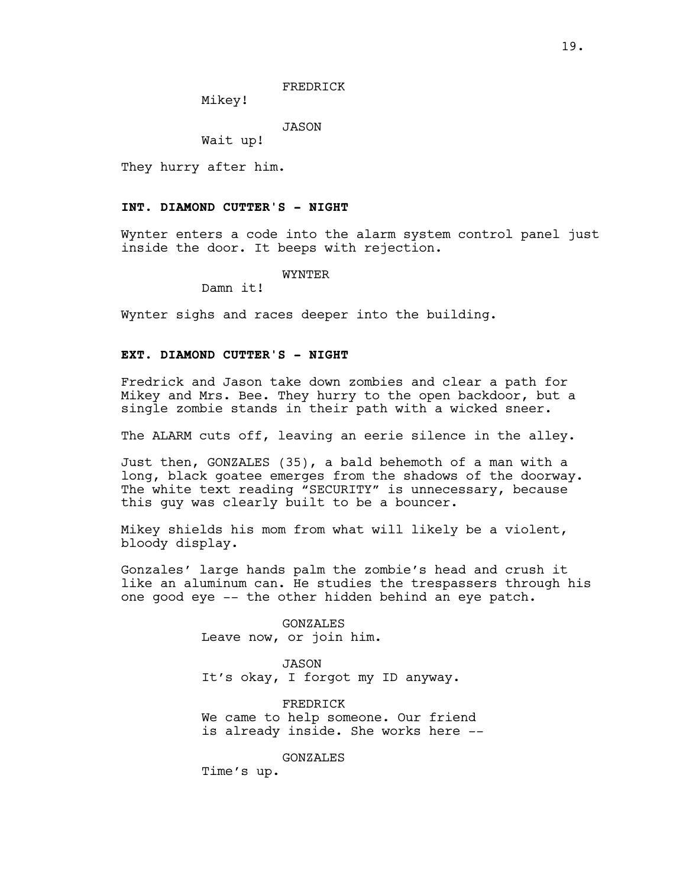### FREDRICK

Mikey!

JASON

Wait up!

They hurry after him.

#### **INT. DIAMOND CUTTER'S - NIGHT**

Wynter enters a code into the alarm system control panel just inside the door. It beeps with rejection.

WYNTER

Damn it!

Wynter sighs and races deeper into the building.

### **EXT. DIAMOND CUTTER'S - NIGHT**

Fredrick and Jason take down zombies and clear a path for Mikey and Mrs. Bee. They hurry to the open backdoor, but a single zombie stands in their path with a wicked sneer.

The ALARM cuts off, leaving an eerie silence in the alley.

Just then, GONZALES (35), a bald behemoth of a man with a long, black goatee emerges from the shadows of the doorway. The white text reading "SECURITY" is unnecessary, because this guy was clearly built to be a bouncer.

Mikey shields his mom from what will likely be a violent, bloody display.

Gonzales' large hands palm the zombie's head and crush it like an aluminum can. He studies the trespassers through his one good eye -- the other hidden behind an eye patch.

> GONZALES Leave now, or join him.

JASON It's okay, I forgot my ID anyway.

FREDRICK We came to help someone. Our friend is already inside. She works here --

GONZALES

Time's up.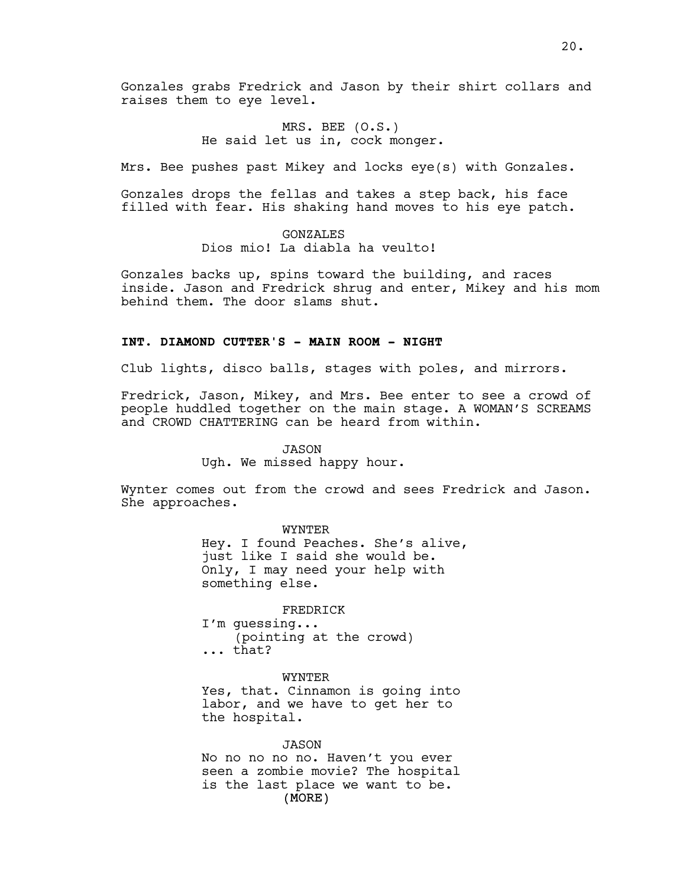Gonzales grabs Fredrick and Jason by their shirt collars and raises them to eye level.

> MRS. BEE (O.S.) He said let us in, cock monger.

Mrs. Bee pushes past Mikey and locks eye(s) with Gonzales.

Gonzales drops the fellas and takes a step back, his face filled with fear. His shaking hand moves to his eye patch.

> GONZALES Dios mio! La diabla ha veulto!

Gonzales backs up, spins toward the building, and races inside. Jason and Fredrick shrug and enter, Mikey and his mom behind them. The door slams shut.

# **INT. DIAMOND CUTTER'S - MAIN ROOM - NIGHT**

Club lights, disco balls, stages with poles, and mirrors.

Fredrick, Jason, Mikey, and Mrs. Bee enter to see a crowd of people huddled together on the main stage. A WOMAN'S SCREAMS and CROWD CHATTERING can be heard from within.

JASON

Ugh. We missed happy hour.

Wynter comes out from the crowd and sees Fredrick and Jason. She approaches.

> WYNTER Hey. I found Peaches. She's alive, just like I said she would be. Only, I may need your help with something else.

FREDRICK I'm guessing... (pointing at the crowd) ... that?

WYNTER

Yes, that. Cinnamon is going into labor, and we have to get her to the hospital.

(MORE) JASON No no no no no. Haven't you ever seen a zombie movie? The hospital is the last place we want to be.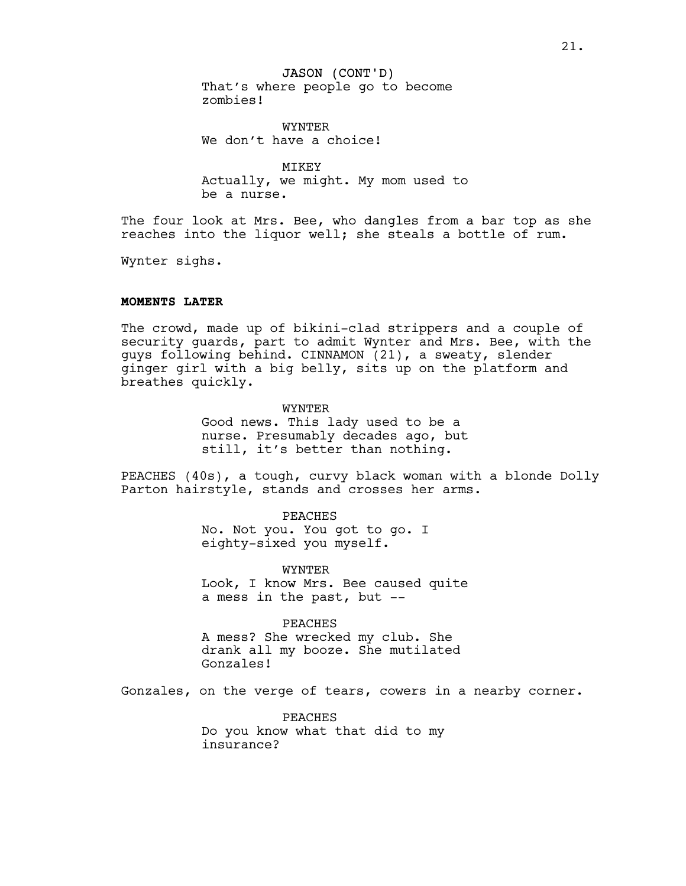### JASON (CONT'D)

That's where people go to become zombies!

WYNTER We don't have a choice!

MIKEY Actually, we might. My mom used to be a nurse.

The four look at Mrs. Bee, who dangles from a bar top as she reaches into the liquor well; she steals a bottle of rum.

Wynter sighs.

# **MOMENTS LATER**

The crowd, made up of bikini-clad strippers and a couple of security guards, part to admit Wynter and Mrs. Bee, with the guys following behind. CINNAMON (21), a sweaty, slender ginger girl with a big belly, sits up on the platform and breathes quickly.

### WYNTER

Good news. This lady used to be a nurse. Presumably decades ago, but still, it's better than nothing.

PEACHES (40s), a tough, curvy black woman with a blonde Dolly Parton hairstyle, stands and crosses her arms.

#### PEACHES

No. Not you. You got to go. I eighty-sixed you myself.

WYNTER

Look, I know Mrs. Bee caused quite a mess in the past, but --

### PEACHES

A mess? She wrecked my club. She drank all my booze. She mutilated Gonzales!

Gonzales, on the verge of tears, cowers in a nearby corner.

PEACHES Do you know what that did to my insurance?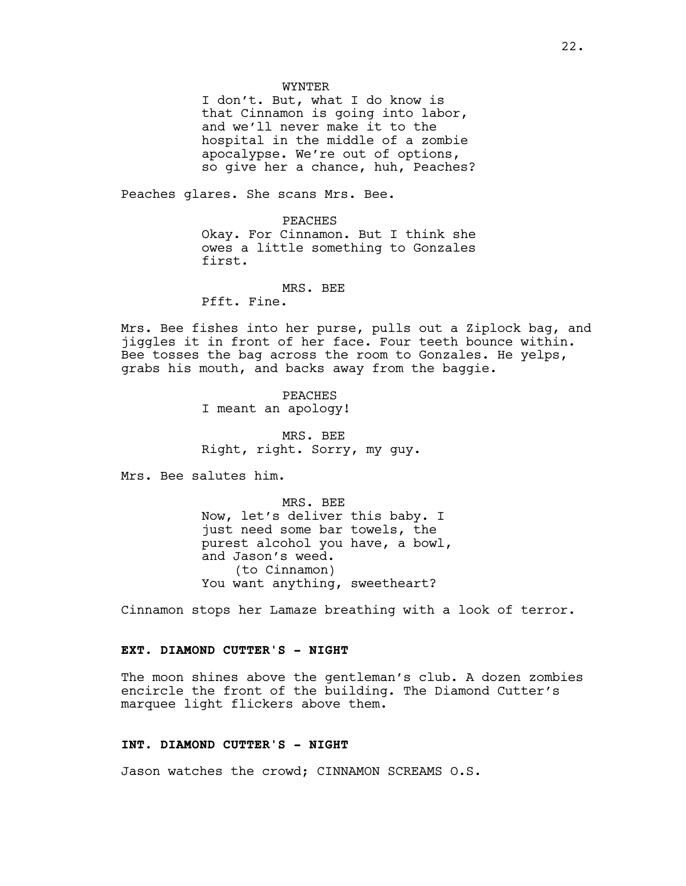#### WYNTER

I don't. But, what I do know is that Cinnamon is going into labor, and we'll never make it to the hospital in the middle of a zombie apocalypse. We're out of options, so give her a chance, huh, Peaches?

Peaches glares. She scans Mrs. Bee.

PEACHES Okay. For Cinnamon. But I think she owes a little something to Gonzales first.

MRS. BEE Pfft. Fine.

Mrs. Bee fishes into her purse, pulls out a Ziplock bag, and jiggles it in front of her face. Four teeth bounce within. Bee tosses the bag across the room to Gonzales. He yelps, grabs his mouth, and backs away from the baggie.

> PEACHES I meant an apology!

MRS. BEE Right, right. Sorry, my guy.

Mrs. Bee salutes him.

MRS. BEE Now, let's deliver this baby. I just need some bar towels, the purest alcohol you have, a bowl, and Jason's weed. (to Cinnamon) You want anything, sweetheart?

Cinnamon stops her Lamaze breathing with a look of terror.

### **EXT. DIAMOND CUTTER'S - NIGHT**

The moon shines above the gentleman's club. A dozen zombies encircle the front of the building. The Diamond Cutter's marquee light flickers above them.

### **INT. DIAMOND CUTTER'S - NIGHT**

Jason watches the crowd; CINNAMON SCREAMS O.S.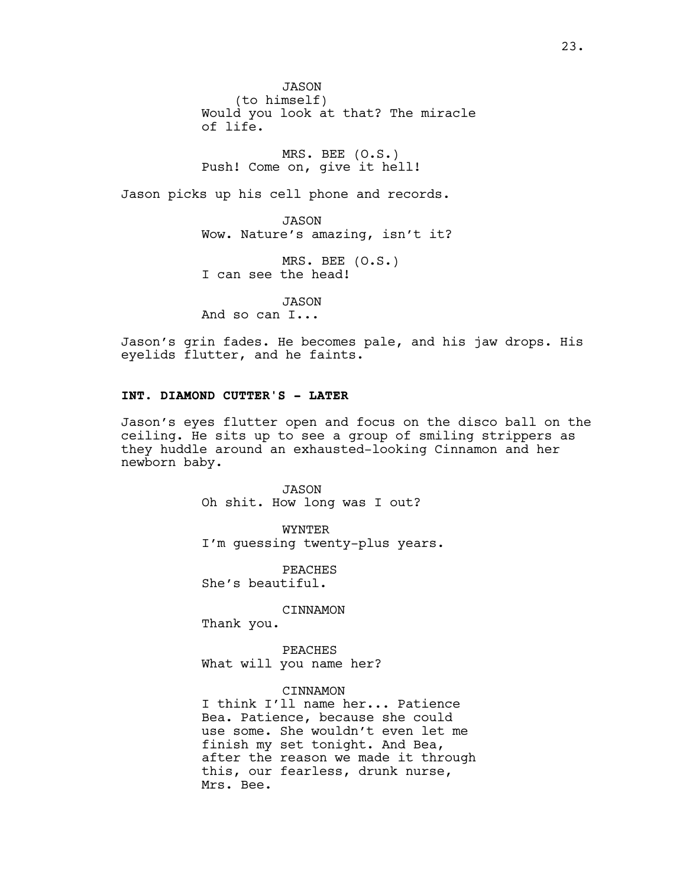JASON (to himself) Would you look at that? The miracle of life.

MRS. BEE (O.S.) Push! Come on, give it hell!

Jason picks up his cell phone and records.

JASON Wow. Nature's amazing, isn't it?

MRS. BEE (O.S.) I can see the head!

JASON

And so can I...

Jason's grin fades. He becomes pale, and his jaw drops. His eyelids flutter, and he faints.

# **INT. DIAMOND CUTTER'S - LATER**

Jason's eyes flutter open and focus on the disco ball on the ceiling. He sits up to see a group of smiling strippers as they huddle around an exhausted-looking Cinnamon and her newborn baby.

> JASON Oh shit. How long was I out?

WYNTER I'm guessing twenty-plus years.

PEACHES She's beautiful.

CINNAMON

Thank you.

PEACHES What will you name her?

### CINNAMON

I think I'll name her... Patience Bea. Patience, because she could use some. She wouldn't even let me finish my set tonight. And Bea, after the reason we made it through this, our fearless, drunk nurse, Mrs. Bee.